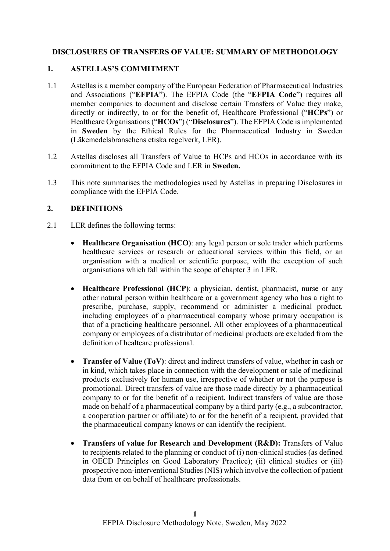## **DISCLOSURES OF TRANSFERS OF VALUE: SUMMARY OF METHODOLOGY**

#### **1. ASTELLAS'S COMMITMENT**

- 1.1 Astellas is a member company of the European Federation of Pharmaceutical Industries and Associations ("**EFPIA**"). The EFPIA Code (the "**EFPIA Code**") requires all member companies to document and disclose certain Transfers of Value they make, directly or indirectly, to or for the benefit of, Healthcare Professional ("**HCPs**") or Healthcare Organisations ("**HCOs**") ("**Disclosures**"). The EFPIA Code is implemented in **Sweden** by the Ethical Rules for the Pharmaceutical Industry in Sweden (Läkemedelsbranschens etiska regelverk, LER).
- 1.2 Astellas discloses all Transfers of Value to HCPs and HCOs in accordance with its commitment to the EFPIA Code and LER in **Sweden.**
- 1.3 This note summarises the methodologies used by Astellas in preparing Disclosures in compliance with the EFPIA Code.

#### **2. DEFINITIONS**

- 2.1 LER defines the following terms:
	- **Healthcare Organisation (HCO)**: any legal person or sole trader which performs healthcare services or research or educational services within this field, or an organisation with a medical or scientific purpose, with the exception of such organisations which fall within the scope of chapter 3 in LER.
	- **Healthcare Professional (HCP)**: a physician, dentist, pharmacist, nurse or any other natural person within healthcare or a government agency who has a right to prescribe, purchase, supply, recommend or administer a medicinal product, including employees of a pharmaceutical company whose primary occupation is that of a practicing healthcare personnel. All other employees of a pharmaceutical company or employees of a distributor of medicinal products are excluded from the definition of healtcare professional.
	- **Transfer of Value (ToV)**: direct and indirect transfers of value, whether in cash or in kind, which takes place in connection with the development or sale of medicinal products exclusively for human use, irrespective of whether or not the purpose is promotional. Direct transfers of value are those made directly by a pharmaceutical company to or for the benefit of a recipient. Indirect transfers of value are those made on behalf of a pharmaceutical company by a third party (e.g., a subcontractor, a cooperation partner or affiliate) to or for the benefit of a recipient, provided that the pharmaceutical company knows or can identify the recipient.
	- **Transfers of value for Research and Development (R&D):** Transfers of Value to recipients related to the planning or conduct of (i) non-clinical studies (as defined in OECD Principles on Good Laboratory Practice); (ii) clinical studies or (iii) prospective non-interventional Studies (NIS) which involve the collection of patient data from or on behalf of healthcare professionals.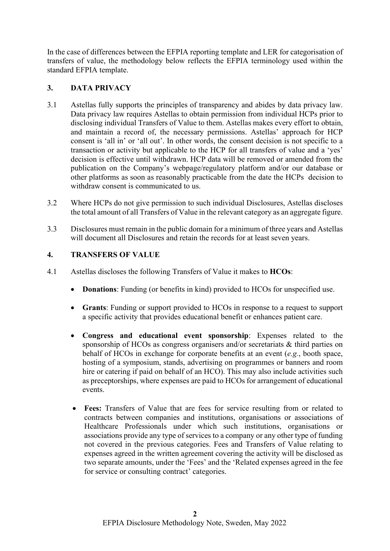In the case of differences between the EFPIA reporting template and LER for categorisation of transfers of value, the methodology below reflects the EFPIA terminology used within the standard EFPIA template.

## **3. DATA PRIVACY**

- 3.1 Astellas fully supports the principles of transparency and abides by data privacy law. Data privacy law requires Astellas to obtain permission from individual HCPs prior to disclosing individual Transfers of Value to them. Astellas makes every effort to obtain, and maintain a record of, the necessary permissions. Astellas' approach for HCP consent is 'all in' or 'all out'. In other words, the consent decision is not specific to a transaction or activity but applicable to the HCP for all transfers of value and a 'yes' decision is effective until withdrawn. HCP data will be removed or amended from the publication on the Company's webpage/regulatory platform and/or our database or other platforms as soon as reasonably practicable from the date the HCPs decision to withdraw consent is communicated to us.
- 3.2 Where HCPs do not give permission to such individual Disclosures, Astellas discloses the total amount of all Transfers of Value in the relevant category as an aggregate figure.
- 3.3 Disclosures must remain in the public domain for a minimum of three years and Astellas will document all Disclosures and retain the records for at least seven years.

## **4. TRANSFERS OF VALUE**

- 4.1 Astellas discloses the following Transfers of Value it makes to **HCOs**:
	- **Donations**: Funding (or benefits in kind) provided to HCOs for unspecified use.
	- **Grants**: Funding or support provided to HCOs in response to a request to support a specific activity that provides educational benefit or enhances patient care.
	- **Congress and educational event sponsorship**: Expenses related to the sponsorship of HCOs as congress organisers and/or secretariats & third parties on behalf of HCOs in exchange for corporate benefits at an event (*e.g.*, booth space, hosting of a symposium, stands, advertising on programmes or banners and room hire or catering if paid on behalf of an HCO). This may also include activities such as preceptorships, where expenses are paid to HCOs for arrangement of educational events.
	- **Fees:** Transfers of Value that are fees for service resulting from or related to contracts between companies and institutions, organisations or associations of Healthcare Professionals under which such institutions, organisations or associations provide any type of services to a company or any other type of funding not covered in the previous categories. Fees and Transfers of Value relating to expenses agreed in the written agreement covering the activity will be disclosed as two separate amounts, under the 'Fees' and the 'Related expenses agreed in the fee for service or consulting contract' categories.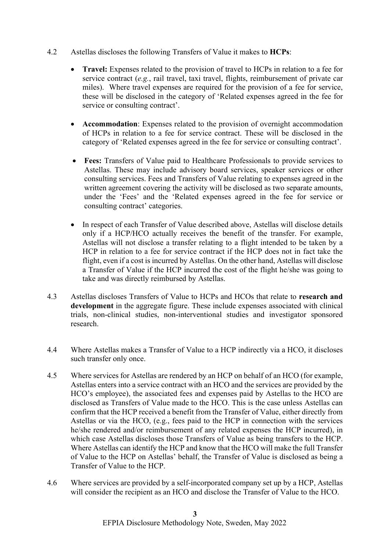- 4.2 Astellas discloses the following Transfers of Value it makes to **HCPs**:
	- **Travel:** Expenses related to the provision of travel to HCPs in relation to a fee for service contract (*e.g.*, rail travel, taxi travel, flights, reimbursement of private car miles). Where travel expenses are required for the provision of a fee for service, these will be disclosed in the category of 'Related expenses agreed in the fee for service or consulting contract'.
	- **Accommodation**: Expenses related to the provision of overnight accommodation of HCPs in relation to a fee for service contract. These will be disclosed in the category of 'Related expenses agreed in the fee for service or consulting contract'.
	- **Fees:** Transfers of Value paid to Healthcare Professionals to provide services to Astellas. These may include advisory board services, speaker services or other consulting services. Fees and Transfers of Value relating to expenses agreed in the written agreement covering the activity will be disclosed as two separate amounts, under the 'Fees' and the 'Related expenses agreed in the fee for service or consulting contract' categories.
	- In respect of each Transfer of Value described above, Astellas will disclose details only if a HCP/HCO actually receives the benefit of the transfer. For example, Astellas will not disclose a transfer relating to a flight intended to be taken by a HCP in relation to a fee for service contract if the HCP does not in fact take the flight, even if a cost is incurred by Astellas. On the other hand, Astellas will disclose a Transfer of Value if the HCP incurred the cost of the flight he/she was going to take and was directly reimbursed by Astellas.
- 4.3 Astellas discloses Transfers of Value to HCPs and HCOs that relate to **research and development** in the aggregate figure. These include expenses associated with clinical trials, non-clinical studies, non-interventional studies and investigator sponsored research.
- 4.4 Where Astellas makes a Transfer of Value to a HCP indirectly via a HCO, it discloses such transfer only once.
- 4.5 Where services for Astellas are rendered by an HCP on behalf of an HCO (for example, Astellas enters into a service contract with an HCO and the services are provided by the HCO's employee), the associated fees and expenses paid by Astellas to the HCO are disclosed as Transfers of Value made to the HCO. This is the case unless Astellas can confirm that the HCP received a benefit from the Transfer of Value, either directly from Astellas or via the HCO, (e.g., fees paid to the HCP in connection with the services he/she rendered and/or reimbursement of any related expenses the HCP incurred), in which case Astellas discloses those Transfers of Value as being transfers to the HCP. Where Astellas can identify the HCP and know that the HCO will make the full Transfer of Value to the HCP on Astellas' behalf, the Transfer of Value is disclosed as being a Transfer of Value to the HCP.
- 4.6 Where services are provided by a self-incorporated company set up by a HCP, Astellas will consider the recipient as an HCO and disclose the Transfer of Value to the HCO.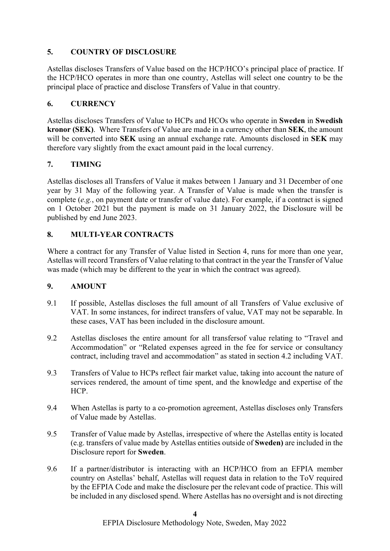# **5. COUNTRY OF DISCLOSURE**

Astellas discloses Transfers of Value based on the HCP/HCO's principal place of practice. If the HCP/HCO operates in more than one country, Astellas will select one country to be the principal place of practice and disclose Transfers of Value in that country.

## **6. CURRENCY**

Astellas discloses Transfers of Value to HCPs and HCOs who operate in **Sweden** in **Swedish kronor (SEK)**. Where Transfers of Value are made in a currency other than **SEK**, the amount will be converted into **SEK** using an annual exchange rate. Amounts disclosed in **SEK** may therefore vary slightly from the exact amount paid in the local currency.

# **7. TIMING**

Astellas discloses all Transfers of Value it makes between 1 January and 31 December of one year by 31 May of the following year. A Transfer of Value is made when the transfer is complete (*e.g.*, on payment date or transfer of value date). For example, if a contract is signed on 1 October 2021 but the payment is made on 31 January 2022, the Disclosure will be published by end June 2023.

## **8. MULTI-YEAR CONTRACTS**

Where a contract for any Transfer of Value listed in Section 4, runs for more than one year, Astellas will record Transfers of Value relating to that contract in the year the Transfer of Value was made (which may be different to the year in which the contract was agreed).

## **9. AMOUNT**

- 9.1 If possible, Astellas discloses the full amount of all Transfers of Value exclusive of VAT. In some instances, for indirect transfers of value, VAT may not be separable. In these cases, VAT has been included in the disclosure amount.
- 9.2 Astellas discloses the entire amount for all transfersof value relating to "Travel and Accommodation" or "Related expenses agreed in the fee for service or consultancy contract, including travel and accommodation" as stated in section 4.2 including VAT.
- 9.3 Transfers of Value to HCPs reflect fair market value, taking into account the nature of services rendered, the amount of time spent, and the knowledge and expertise of the HCP.
- 9.4 When Astellas is party to a co-promotion agreement, Astellas discloses only Transfers of Value made by Astellas.
- 9.5 Transfer of Value made by Astellas, irrespective of where the Astellas entity is located (e.g. transfers of value made by Astellas entities outside of **Sweden)** are included in the Disclosure report for **Sweden**.
- 9.6 If a partner/distributor is interacting with an HCP/HCO from an EFPIA member country on Astellas' behalf, Astellas will request data in relation to the ToV required by the EFPIA Code and make the disclosure per the relevant code of practice. This will be included in any disclosed spend. Where Astellas has no oversight and is not directing